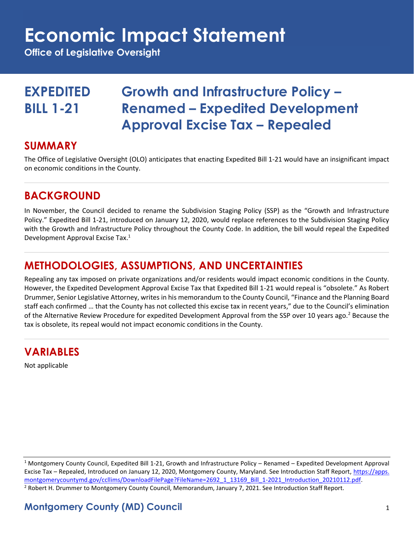## **Economic Impact Statement**

**Office of Legislative Oversight**

## **EXPEDITED Growth and Infrastructure Policy – BILL 1-21 Renamed – Expedited Development Approval Excise Tax – Repealed**

#### **SUMMARY**

The Office of Legislative Oversight (OLO) anticipates that enacting Expedited Bill 1-21 would have an insignificant impact on economic conditions in the County.

## **BACKGROUND**

In November, the Council decided to rename the Subdivision Staging Policy (SSP) as the "Growth and Infrastructure Policy." Expedited Bill 1-21, introduced on January 12, 2020, would replace references to the Subdivision Staging Policy with the Growth and Infrastructure Policy throughout the County Code. In addition, the bill would repeal the Expedited Development Approval Excise Tax.<sup>1</sup>

## **METHODOLOGIES, ASSUMPTIONS, AND UNCERTAINTIES**

Repealing any tax imposed on private organizations and/or residents would impact economic conditions in the County. However, the Expedited Development Approval Excise Tax that Expedited Bill 1-21 would repeal is "obsolete." As Robert Drummer, Senior Legislative Attorney, writes in his memorandum to the County Council, "Finance and the Planning Board staff each confirmed … that the County has not collected this excise tax in recent years," due to the Council's elimination of the Alternative Review Procedure for expedited Development Approval from the SSP over 10 years ago.<sup>2</sup> Because the tax is obsolete, its repeal would not impact economic conditions in the County.

## **VARIABLES**

Not applicable

<sup>1</sup> Montgomery County Council, Expedited Bill 1-21, Growth and Infrastructure Policy – Renamed – Expedited Development Approval Excise Tax – Repealed, Introduced on January 12, 2020, Montgomery County, Maryland. See Introduction Staff Report[, https://apps.](https://apps.montgomerycountymd.gov/ccllims/DownloadFilePage?FileName=2692_1_13169_Bill_1-2021_Introduction_20210112.pdf) [montgomerycountymd.gov/ccllims/DownloadFilePage?FileName=2692\\_1\\_13169\\_Bill\\_1-2021\\_Introduction\\_20210112.pdf.](https://apps.montgomerycountymd.gov/ccllims/DownloadFilePage?FileName=2692_1_13169_Bill_1-2021_Introduction_20210112.pdf) <sup>2</sup> Robert H. Drummer to Montgomery County Council, Memorandum, January 7, 2021. See Introduction Staff Report.